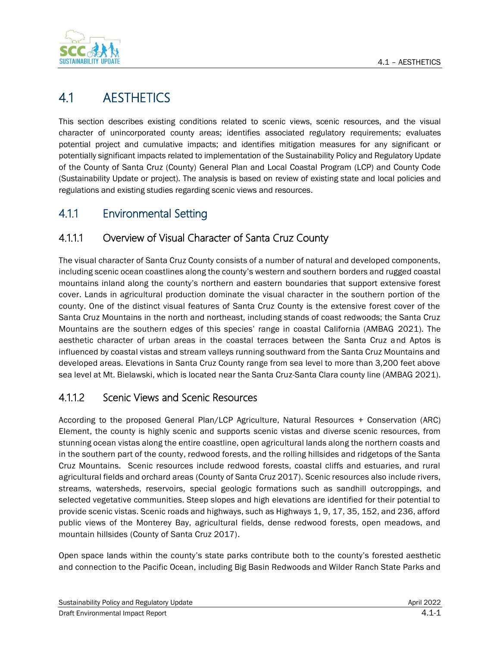

# 4.1 AESTHETICS

This section describes existing conditions related to scenic views, scenic resources, and the visual character of unincorporated county areas; identifies associated regulatory requirements; evaluates potential project and cumulative impacts; and identifies mitigation measures for any significant or potentially significant impacts related to implementation of the Sustainability Policy and Regulatory Update of the County of Santa Cruz (County) General Plan and Local Coastal Program (LCP) and County Code (Sustainability Update or project). The analysis is based on review of existing state and local policies and regulations and existing studies regarding scenic views and resources.

## 4.1.1 Environmental Setting

### 4.1.1.1 Overview of Visual Character of Santa Cruz County

The visual character of Santa Cruz County consists of a number of natural and developed components, including scenic ocean coastlines along the county's western and southern borders and rugged coastal mountains inland along the county's northern and eastern boundaries that support extensive forest cover. Lands in agricultural production dominate the visual character in the southern portion of the county. One of the distinct visual features of Santa Cruz County is the extensive forest cover of the Santa Cruz Mountains in the north and northeast, including stands of coast redwoods; the Santa Cruz Mountains are the southern edges of this species' range in coastal California (AMBAG 2021). The aesthetic character of urban areas in the coastal terraces between the Santa Cruz and Aptos is influenced by coastal vistas and stream valleys running southward from the Santa Cruz Mountains and developed areas. Elevations in Santa Cruz County range from sea level to more than 3,200 feet above sea level at Mt. Bielawski, which is located near the Santa Cruz-Santa Clara county line (AMBAG 2021).

### 4.1.1.2 Scenic Views and Scenic Resources

According to the proposed General Plan/LCP Agriculture, Natural Resources + Conservation (ARC) Element, the county is highly scenic and supports scenic vistas and diverse scenic resources, from stunning ocean vistas along the entire coastline, open agricultural lands along the northern coasts and in the southern part of the county, redwood forests, and the rolling hillsides and ridgetops of the Santa Cruz Mountains. Scenic resources include redwood forests, coastal cliffs and estuaries, and rural agricultural fields and orchard areas (County of Santa Cruz 2017). Scenic resources also include rivers, streams, watersheds, reservoirs, special geologic formations such as sandhill outcroppings, and selected vegetative communities. Steep slopes and high elevations are identified for their potential to provide scenic vistas. Scenic roads and highways, such as Highways 1, 9, 17, 35, 152, and 236, afford public views of the Monterey Bay, agricultural fields, dense redwood forests, open meadows, and mountain hillsides (County of Santa Cruz 2017).

Open space lands within the county's state parks contribute both to the county's forested aesthetic and connection to the Pacific Ocean, including Big Basin Redwoods and Wilder Ranch State Parks and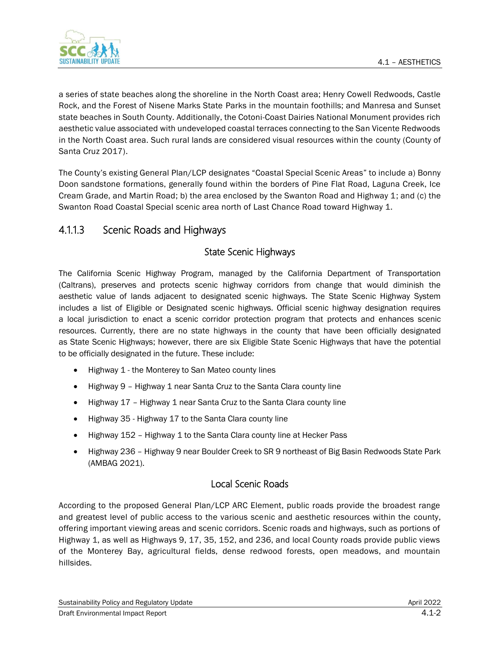

a series of state beaches along the shoreline in the North Coast area; Henry Cowell Redwoods, Castle Rock, and the Forest of Nisene Marks State Parks in the mountain foothills; and Manresa and Sunset state beaches in South County. Additionally, the Cotoni-Coast Dairies National Monument provides rich aesthetic value associated with undeveloped coastal terraces connecting to the San Vicente Redwoods in the North Coast area. Such rural lands are considered visual resources within the county (County of Santa Cruz 2017).

The County's existing General Plan/LCP designates "Coastal Special Scenic Areas" to include a) Bonny Doon sandstone formations, generally found within the borders of Pine Flat Road, Laguna Creek, Ice Cream Grade, and Martin Road; b) the area enclosed by the Swanton Road and Highway 1; and (c) the Swanton Road Coastal Special scenic area north of Last Chance Road toward Highway 1.

### 4.1.1.3 Scenic Roads and Highways

### State Scenic Highways

The California Scenic Highway Program, managed by the California Department of Transportation (Caltrans), preserves and protects scenic highway corridors from change that would diminish the aesthetic value of lands adjacent to designated scenic highways. The State Scenic Highway System includes a list of Eligible or Designated scenic highways. Official scenic highway designation requires a local jurisdiction to enact a scenic corridor protection program that protects and enhances scenic resources. Currently, there are no state highways in the county that have been officially designated as State Scenic Highways; however, there are six Eligible State Scenic Highways that have the potential to be officially designated in the future. These include:

- Highway 1 the Monterey to San Mateo county lines
- Highway 9 Highway 1 near Santa Cruz to the Santa Clara county line
- Highway 17 Highway 1 near Santa Cruz to the Santa Clara county line
- Highway 35 Highway 17 to the Santa Clara county line
- Highway 152 Highway 1 to the Santa Clara county line at Hecker Pass
- Highway 236 Highway 9 near Boulder Creek to SR 9 northeast of Big Basin Redwoods State Park (AMBAG 2021).

### Local Scenic Roads

According to the proposed General Plan/LCP ARC Element, public roads provide the broadest range and greatest level of public access to the various scenic and aesthetic resources within the county, offering important viewing areas and scenic corridors. Scenic roads and highways, such as portions of Highway 1, as well as Highways 9, 17, 35, 152, and 236, and local County roads provide public views of the Monterey Bay, agricultural fields, dense redwood forests, open meadows, and mountain hillsides.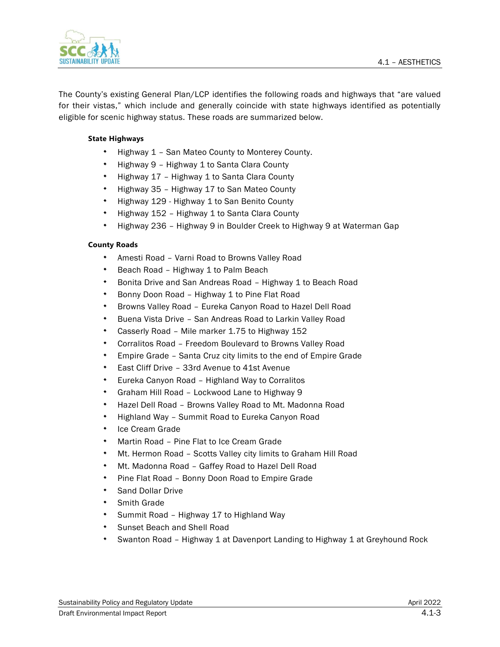



The County's existing General Plan/LCP identifies the following roads and highways that "are valued for their vistas," which include and generally coincide with state highways identified as potentially eligible for scenic highway status. These roads are summarized below.

#### **State Highways**

- \* Highway 1 San Mateo County to Monterey County.
- Highway 9 Highway 1 to Santa Clara County
- Highway 17 Highway 1 to Santa Clara County
- Highway 35 Highway 17 to San Mateo County
- \* Highway 129 Highway 1 to San Benito County
- Highway 152 Highway 1 to Santa Clara County
- Highway 236 Highway 9 in Boulder Creek to Highway 9 at Waterman Gap

#### **County Roads**

- Amesti Road Varni Road to Browns Valley Road
- Beach Road Highway 1 to Palm Beach
- Bonita Drive and San Andreas Road Highway 1 to Beach Road
- Bonny Doon Road Highway 1 to Pine Flat Road
- Browns Valley Road Eureka Canyon Road to Hazel Dell Road
- Buena Vista Drive San Andreas Road to Larkin Valley Road
- Casserly Road Mile marker 1.75 to Highway 152
- Corralitos Road Freedom Boulevard to Browns Valley Road
- Empire Grade Santa Cruz city limits to the end of Empire Grade
- East Cliff Drive 33rd Avenue to 41st Avenue
- Eureka Canyon Road Highland Way to Corralitos
- Graham Hill Road Lockwood Lane to Highway 9
- Hazel Dell Road Browns Valley Road to Mt. Madonna Road
- Highland Way Summit Road to Eureka Canyon Road
- Ice Cream Grade
- Martin Road Pine Flat to Ice Cream Grade
- Mt. Hermon Road Scotts Valley city limits to Graham Hill Road
- Mt. Madonna Road Gaffey Road to Hazel Dell Road
- Pine Flat Road Bonny Doon Road to Empire Grade
- Sand Dollar Drive
- Smith Grade
- \* Summit Road Highway 17 to Highland Way
- Sunset Beach and Shell Road
- Swanton Road Highway 1 at Davenport Landing to Highway 1 at Greyhound Rock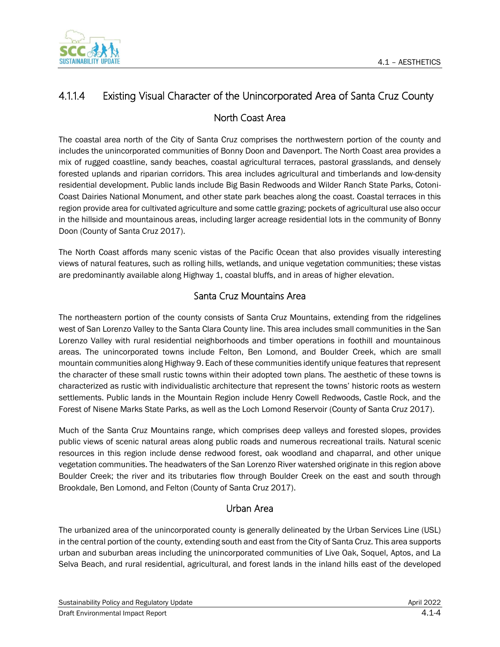

## 4.1.1.4 Existing Visual Character of the Unincorporated Area of Santa Cruz County

### North Coast Area

The coastal area north of the City of Santa Cruz comprises the northwestern portion of the county and includes the unincorporated communities of Bonny Doon and Davenport. The North Coast area provides a mix of rugged coastline, sandy beaches, coastal agricultural terraces, pastoral grasslands, and densely forested uplands and riparian corridors. This area includes agricultural and timberlands and low-density residential development. Public lands include Big Basin Redwoods and Wilder Ranch State Parks, Cotoni-Coast Dairies National Monument, and other state park beaches along the coast. Coastal terraces in this region provide area for cultivated agriculture and some cattle grazing; pockets of agricultural use also occur in the hillside and mountainous areas, including larger acreage residential lots in the community of Bonny Doon (County of Santa Cruz 2017).

The North Coast affords many scenic vistas of the Pacific Ocean that also provides visually interesting views of natural features, such as rolling hills, wetlands, and unique vegetation communities; these vistas are predominantly available along Highway 1, coastal bluffs, and in areas of higher elevation.

### Santa Cruz Mountains Area

The northeastern portion of the county consists of Santa Cruz Mountains, extending from the ridgelines west of San Lorenzo Valley to the Santa Clara County line. This area includes small communities in the San Lorenzo Valley with rural residential neighborhoods and timber operations in foothill and mountainous areas. The unincorporated towns include Felton, Ben Lomond, and Boulder Creek, which are small mountain communities along Highway 9. Each of these communities identify unique features that represent the character of these small rustic towns within their adopted town plans. The aesthetic of these towns is characterized as rustic with individualistic architecture that represent the towns' historic roots as western settlements. Public lands in the Mountain Region include Henry Cowell Redwoods, Castle Rock, and the Forest of Nisene Marks State Parks, as well as the Loch Lomond Reservoir (County of Santa Cruz 2017).

Much of the Santa Cruz Mountains range, which comprises deep valleys and forested slopes, provides public views of scenic natural areas along public roads and numerous recreational trails. Natural scenic resources in this region include dense redwood forest, oak woodland and chaparral, and other unique vegetation communities. The headwaters of the San Lorenzo River watershed originate in this region above Boulder Creek; the river and its tributaries flow through Boulder Creek on the east and south through Brookdale, Ben Lomond, and Felton (County of Santa Cruz 2017).

### Urban Area

The urbanized area of the unincorporated county is generally delineated by the Urban Services Line (USL) in the central portion of the county, extending south and east from the City of Santa Cruz. This area supports urban and suburban areas including the unincorporated communities of Live Oak, Soquel, Aptos, and La Selva Beach, and rural residential, agricultural, and forest lands in the inland hills east of the developed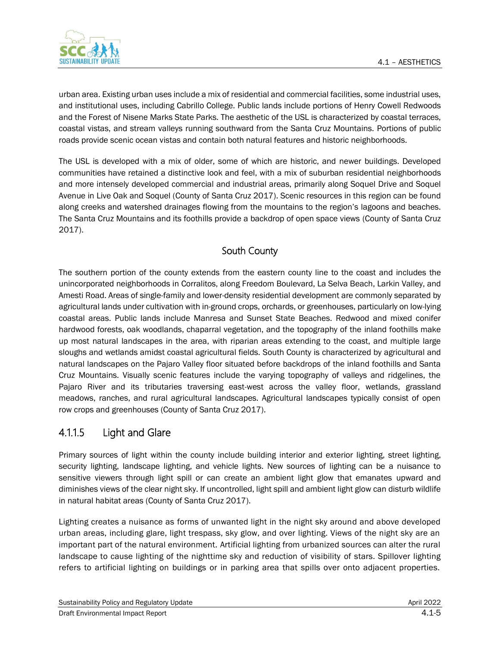

urban area. Existing urban uses include a mix of residential and commercial facilities, some industrial uses, and institutional uses, including Cabrillo College. Public lands include portions of Henry Cowell Redwoods and the Forest of Nisene Marks State Parks. The aesthetic of the USL is characterized by coastal terraces, coastal vistas, and stream valleys running southward from the Santa Cruz Mountains. Portions of public roads provide scenic ocean vistas and contain both natural features and historic neighborhoods.

The USL is developed with a mix of older, some of which are historic, and newer buildings. Developed communities have retained a distinctive look and feel, with a mix of suburban residential neighborhoods and more intensely developed commercial and industrial areas, primarily along Soquel Drive and Soquel Avenue in Live Oak and Soquel (County of Santa Cruz 2017). Scenic resources in this region can be found along creeks and watershed drainages flowing from the mountains to the region's lagoons and beaches. The Santa Cruz Mountains and its foothills provide a backdrop of open space views (County of Santa Cruz 2017).

### South County

The southern portion of the county extends from the eastern county line to the coast and includes the unincorporated neighborhoods in Corralitos, along Freedom Boulevard, La Selva Beach, Larkin Valley, and Amesti Road. Areas of single-family and lower-density residential development are commonly separated by agricultural lands under cultivation with in-ground crops, orchards, or greenhouses, particularly on low-lying coastal areas. Public lands include Manresa and Sunset State Beaches. Redwood and mixed conifer hardwood forests, oak woodlands, chaparral vegetation, and the topography of the inland foothills make up most natural landscapes in the area, with riparian areas extending to the coast, and multiple large sloughs and wetlands amidst coastal agricultural fields. South County is characterized by agricultural and natural landscapes on the Pajaro Valley floor situated before backdrops of the inland foothills and Santa Cruz Mountains. Visually scenic features include the varying topography of valleys and ridgelines, the Pajaro River and its tributaries traversing east-west across the valley floor, wetlands, grassland meadows, ranches, and rural agricultural landscapes. Agricultural landscapes typically consist of open row crops and greenhouses (County of Santa Cruz 2017).

### 4.1.1.5 Light and Glare

Primary sources of light within the county include building interior and exterior lighting, street lighting, security lighting, landscape lighting, and vehicle lights. New sources of lighting can be a nuisance to sensitive viewers through light spill or can create an ambient light glow that emanates upward and diminishes views of the clear night sky. If uncontrolled, light spill and ambient light glow can disturb wildlife in natural habitat areas (County of Santa Cruz 2017).

Lighting creates a nuisance as forms of unwanted light in the night sky around and above developed urban areas, including glare, light trespass, sky glow, and over lighting. Views of the night sky are an important part of the natural environment. Artificial lighting from urbanized sources can alter the rural landscape to cause lighting of the nighttime sky and reduction of visibility of stars. Spillover lighting refers to artificial lighting on buildings or in parking area that spills over onto adjacent properties.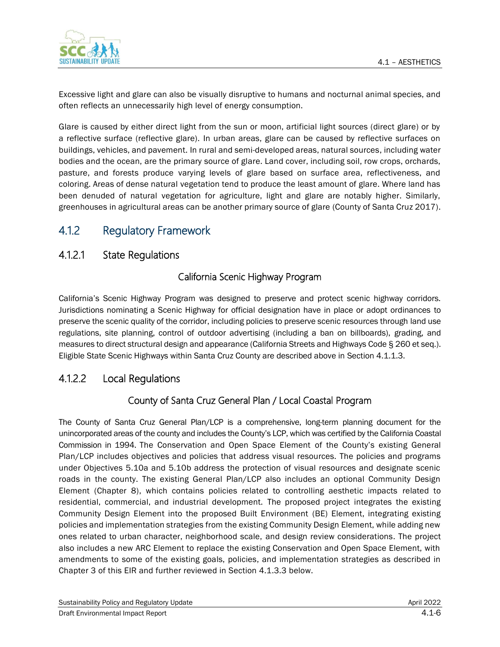

Excessive light and glare can also be visually disruptive to humans and nocturnal animal species, and often reflects an unnecessarily high level of energy consumption.

Glare is caused by either direct light from the sun or moon, artificial light sources (direct glare) or by a reflective surface (reflective glare). In urban areas, glare can be caused by reflective surfaces on buildings, vehicles, and pavement. In rural and semi-developed areas, natural sources, including water bodies and the ocean, are the primary source of glare. Land cover, including soil, row crops, orchards, pasture, and forests produce varying levels of glare based on surface area, reflectiveness, and coloring. Areas of dense natural vegetation tend to produce the least amount of glare. Where land has been denuded of natural vegetation for agriculture, light and glare are notably higher. Similarly, greenhouses in agricultural areas can be another primary source of glare (County of Santa Cruz 2017).

## 4.1.2 Regulatory Framework

### 4.1.2.1 State Regulations

### California Scenic Highway Program

California's Scenic Highway Program was designed to preserve and protect scenic highway corridors. Jurisdictions nominating a Scenic Highway for official designation have in place or adopt ordinances to preserve the scenic quality of the corridor, including policies to preserve scenic resources through land use regulations, site planning, control of outdoor advertising (including a ban on billboards), grading, and measures to direct structural design and appearance (California Streets and Highways Code § 260 et seq.). Eligible State Scenic Highways within Santa Cruz County are described above in Section 4.1.1.3.

### 4.1.2.2 Local Regulations

### County of Santa Cruz General Plan / Local Coastal Program

The County of Santa Cruz General Plan/LCP is a comprehensive, long-term planning document for the unincorporated areas of the county and includes the County's LCP, which was certified by the California Coastal Commission in 1994. The Conservation and Open Space Element of the County's existing General Plan/LCP includes objectives and policies that address visual resources. The policies and programs under Objectives 5.10a and 5.10b address the protection of visual resources and designate scenic roads in the county. The existing General Plan/LCP also includes an optional Community Design Element (Chapter 8), which contains policies related to controlling aesthetic impacts related to residential, commercial, and industrial development. The proposed project integrates the existing Community Design Element into the proposed Built Environment (BE) Element, integrating existing policies and implementation strategies from the existing Community Design Element, while adding new ones related to urban character, neighborhood scale, and design review considerations. The project also includes a new ARC Element to replace the existing Conservation and Open Space Element, with amendments to some of the existing goals, policies, and implementation strategies as described in Chapter 3 of this EIR and further reviewed in Section 4.1.3.3 below.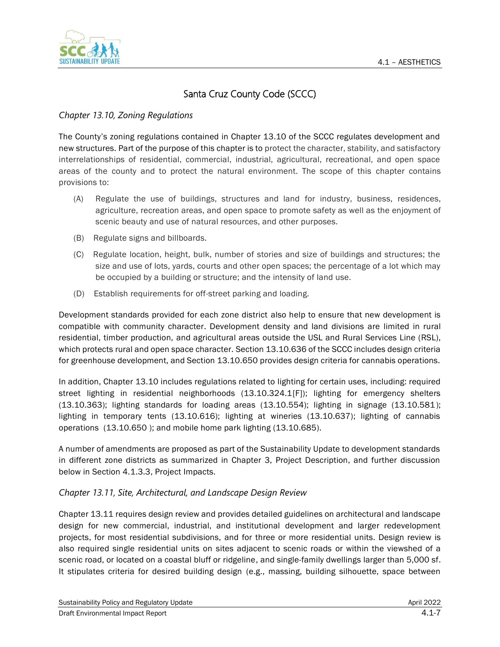

## Santa Cruz County Code (SCCC)

#### *Chapter 13.10, Zoning Regulations*

The County's zoning regulations contained in Chapter 13.10 of the SCCC regulates development and new structures. Part of the purpose of this chapter is to protect the character, stability, and satisfactory interrelationships of residential, commercial, industrial, agricultural, recreational, and open space areas of the county and to protect the natural environment. The scope of this chapter contains provisions to:

- (A) Regulate the use of buildings, structures and land for industry, business, residences, agriculture, recreation areas, and open space to promote safety as well as the enjoyment of scenic beauty and use of natural resources, and other purposes.
- (B) Regulate signs and billboards.
- (C) Regulate location, height, bulk, number of stories and size of buildings and structures; the size and use of lots, yards, courts and other open spaces; the percentage of a lot which may be occupied by a building or structure; and the intensity of land use.
- (D) Establish requirements for off-street parking and loading.

Development standards provided for each zone district also help to ensure that new development is compatible with community character. Development density and land divisions are limited in rural residential, timber production, and agricultural areas outside the USL and Rural Services Line (RSL), which protects rural and open space character. Section 13.10.636 of the SCCC includes design criteria for greenhouse development, and Section 13.10.650 provides design criteria for cannabis operations.

In addition, Chapter 13.10 includes regulations related to lighting for certain uses, including: required street lighting in residential neighborhoods (13.10.324.1[F]); lighting for emergency shelters (13.10.363); lighting standards for loading areas (13.10.554); lighting in signage (13.10.581); lighting in temporary tents (13.10.616); lighting at wineries (13.10.637); lighting of cannabis operations (13.10.650 ); and mobile home park lighting (13.10.685).

A number of amendments are proposed as part of the Sustainability Update to development standards in different zone districts as summarized in Chapter 3, Project Description, and further discussion below in Section 4.1.3.3, Project Impacts.

#### *Chapter 13.11, Site, Architectural, and Landscape Design Review*

Chapter 13.11 requires design review and provides detailed guidelines on architectural and landscape design for new commercial, industrial, and institutional development and larger redevelopment projects, for most residential subdivisions, and for three or more residential units. Design review is also required single residential units on sites adjacent to scenic roads or within the viewshed of a scenic road, or located on a coastal bluff or ridgeline, and single-family dwellings larger than 5,000 sf. It stipulates criteria for desired building design (e.g., massing, building silhouette, space between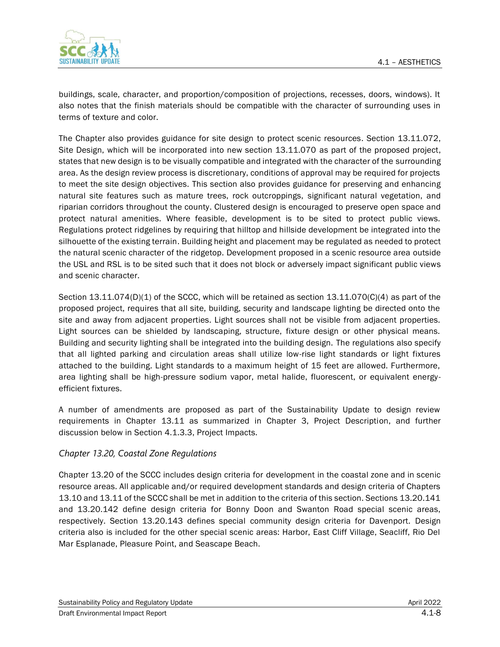

buildings, scale, character, and proportion/composition of projections, recesses, doors, windows). It also notes that the finish materials should be compatible with the character of surrounding uses in terms of texture and color.

The Chapter also provides guidance for site design to protect scenic resources. Section 13.11.072, Site Design, which will be incorporated into new section 13.11.070 as part of the proposed project, states that new design is to be visually compatible and integrated with the character of the surrounding area. As the design review process is discretionary, conditions of approval may be required for projects to meet the site design objectives. This section also provides guidance for preserving and enhancing natural site features such as mature trees, rock outcroppings, significant natural vegetation, and riparian corridors throughout the county. Clustered design is encouraged to preserve open space and protect natural amenities. Where feasible, development is to be sited to protect public views. Regulations protect ridgelines by requiring that hilltop and hillside development be integrated into the silhouette of the existing terrain. Building height and placement may be regulated as needed to protect the natural scenic character of the ridgetop. Development proposed in a scenic resource area outside the USL and RSL is to be sited such that it does not block or adversely impact significant public views and scenic character.

Section 13.11.074(D)(1) of the SCCC, which will be retained as section 13.11.070(C)(4) as part of the proposed project, requires that all site, building, security and landscape lighting be directed onto the site and away from adjacent properties. Light sources shall not be visible from adjacent properties. Light sources can be shielded by landscaping, structure, fixture design or other physical means. Building and security lighting shall be integrated into the building design. The regulations also specify that all lighted parking and circulation areas shall utilize low-rise light standards or light fixtures attached to the building. Light standards to a maximum height of 15 feet are allowed. Furthermore, area lighting shall be high-pressure sodium vapor, metal halide, fluorescent, or equivalent energyefficient fixtures.

A number of amendments are proposed as part of the Sustainability Update to design review requirements in Chapter 13.11 as summarized in Chapter 3, Project Description, and further discussion below in Section 4.1.3.3, Project Impacts.

#### *Chapter 13.20, Coastal Zone Regulations*

Chapter 13.20 of the SCCC includes design criteria for development in the coastal zone and in scenic resource areas. All applicable and/or required development standards and design criteria of Chapters 13.10 and 13.11 of the SCCC shall be met in addition to the criteria of this section. Sections 13.20.141 and 13.20.142 define design criteria for Bonny Doon and Swanton Road special scenic areas, respectively. Section 13.20.143 defines special community design criteria for Davenport. Design criteria also is included for the other special scenic areas: Harbor, East Cliff Village, Seacliff, Rio Del Mar Esplanade, Pleasure Point, and Seascape Beach.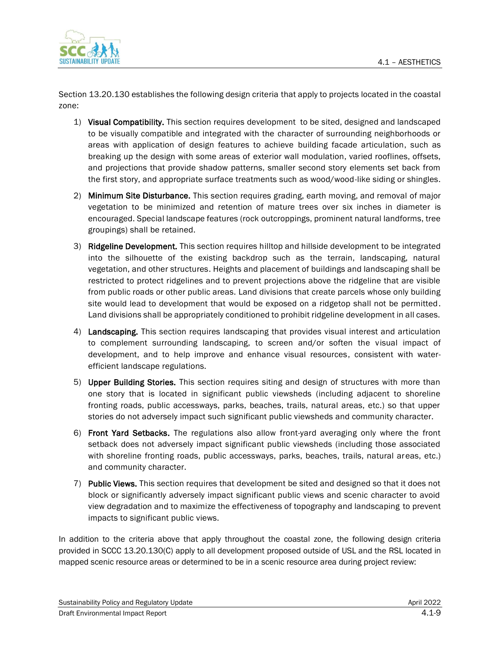

Section 13.20.130 establishes the following design criteria that apply to projects located in the coastal zone:

- 1) Visual Compatibility. This section requires development to be sited, designed and landscaped to be visually compatible and integrated with the character of surrounding neighborhoods or areas with application of design features to achieve building facade articulation, such as breaking up the design with some areas of exterior wall modulation, varied rooflines, offsets, and projections that provide shadow patterns, smaller second story elements set back from the first story, and appropriate surface treatments such as wood/wood-like siding or shingles.
- 2) Minimum Site Disturbance. This section requires grading, earth moving, and removal of major vegetation to be minimized and retention of mature trees over six inches in diameter is encouraged. Special landscape features (rock outcroppings, prominent natural landforms, tree groupings) shall be retained.
- 3) Ridgeline Development. This section requires hilltop and hillside development to be integrated into the silhouette of the existing backdrop such as the terrain, landscaping, natural vegetation, and other structures. Heights and placement of buildings and landscaping shall be restricted to protect ridgelines and to prevent projections above the ridgeline that are visible from public roads or other public areas. Land divisions that create parcels whose only building site would lead to development that would be exposed on a ridgetop shall not be permitted. Land divisions shall be appropriately conditioned to prohibit ridgeline development in all cases.
- 4) Landscaping. This section requires landscaping that provides visual interest and articulation to complement surrounding landscaping, to screen and/or soften the visual impact of development, and to help improve and enhance visual resources, consistent with waterefficient landscape regulations.
- 5) Upper Building Stories. This section requires siting and design of structures with more than one story that is located in significant public viewsheds (including adjacent to shoreline fronting roads, public accessways, parks, beaches, trails, natural areas, etc.) so that upper stories do not adversely impact such significant public viewsheds and community character.
- 6) Front Yard Setbacks. The regulations also allow front-yard averaging only where the front setback does not adversely impact significant public viewsheds (including those associated with shoreline fronting roads, public accessways, parks, beaches, trails, natural areas, etc.) and community character.
- 7) Public Views. This section requires that development be sited and designed so that it does not block or significantly adversely impact significant public views and scenic character to avoid view degradation and to maximize the effectiveness of topography and landscaping to prevent impacts to significant public views.

In addition to the criteria above that apply throughout the coastal zone, the following design criteria provided in SCCC 13.20.130(C) apply to all development proposed outside of USL and the RSL located in mapped scenic resource areas or determined to be in a scenic resource area during project review: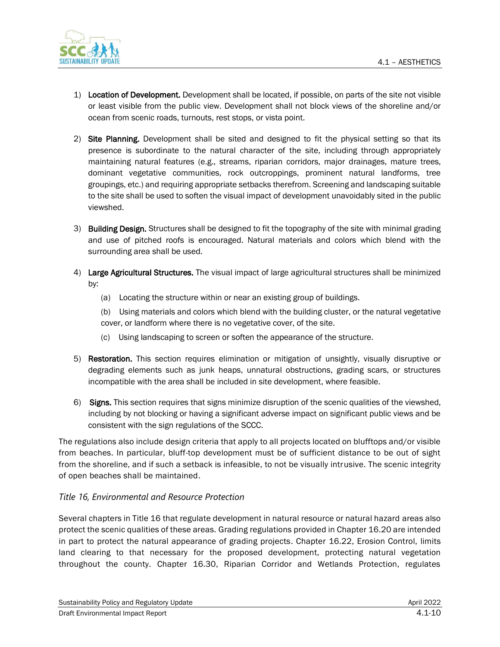

- 1) Location of Development. Development shall be located, if possible, on parts of the site not visible or least visible from the public view. Development shall not block views of the shoreline and/or ocean from scenic roads, turnouts, rest stops, or vista point.
- 2) Site Planning. Development shall be sited and designed to fit the physical setting so that its presence is subordinate to the natural character of the site, including through appropriately maintaining natural features (e.g., streams, riparian corridors, major drainages, mature trees, dominant vegetative communities, rock outcroppings, prominent natural landforms, tree groupings, etc.) and requiring appropriate setbacks therefrom. Screening and landscaping suitable to the site shall be used to soften the visual impact of development unavoidably sited in the public viewshed.
- 3) Building Design. Structures shall be designed to fit the topography of the site with minimal grading and use of pitched roofs is encouraged. Natural materials and colors which blend with the surrounding area shall be used.
- 4) Large Agricultural Structures. The visual impact of large agricultural structures shall be minimized by:
	- (a) Locating the structure within or near an existing group of buildings.
	- (b) Using materials and colors which blend with the building cluster, or the natural vegetative cover, or landform where there is no vegetative cover, of the site.
	- (c) Using landscaping to screen or soften the appearance of the structure.
- 5) Restoration. This section requires elimination or mitigation of unsightly, visually disruptive or degrading elements such as junk heaps, unnatural obstructions, grading scars, or structures incompatible with the area shall be included in site development, where feasible.
- 6) Signs. This section requires that signs minimize disruption of the scenic qualities of the viewshed, including by not blocking or having a significant adverse impact on significant public views and be consistent with the sign regulations of the SCCC.

The regulations also include design criteria that apply to all projects located on blufftops and/or visible from beaches. In particular, bluff-top development must be of sufficient distance to be out of sight from the shoreline, and if such a setback is infeasible, to not be visually intrusive. The scenic integrity of open beaches shall be maintained.

#### *Title 16, Environmental and Resource Protection*

Several chapters in Title 16 that regulate development in natural resource or natural hazard areas also protect the scenic qualities of these areas. Grading regulations provided in Chapter 16.20 are intended in part to protect the natural appearance of grading projects. Chapter 16.22, Erosion Control, limits land clearing to that necessary for the proposed development, protecting natural vegetation throughout the county. Chapter 16.30, Riparian Corridor and Wetlands Protection, regulates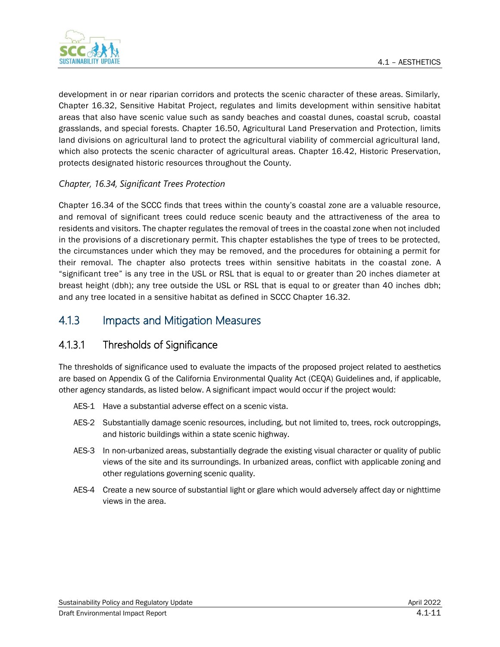

development in or near riparian corridors and protects the scenic character of these areas. Similarly, Chapter 16.32, Sensitive Habitat Project, regulates and limits development within sensitive habitat areas that also have scenic value such as sandy beaches and coastal dunes, coastal scrub, coastal grasslands, and special forests. Chapter 16.50, Agricultural Land Preservation and Protection, limits land divisions on agricultural land to protect the agricultural viability of commercial agricultural land, which also protects the scenic character of agricultural areas. Chapter 16.42, Historic Preservation, protects designated historic resources throughout the County.

#### *Chapter, 16.34, Significant Trees Protection*

Chapter 16.34 of the SCCC finds that trees within the county's coastal zone are a valuable resource, and removal of significant trees could reduce scenic beauty and the attractiveness of the area to residents and visitors. The chapter regulates the removal of trees in the coastal zone when not included in the provisions of a discretionary permit. This chapter establishes the type of trees to be protected, the circumstances under which they may be removed, and the procedures for obtaining a permit for their removal. The chapter also protects trees within sensitive habitats in the coastal zone. A "significant tree" is any tree in the USL or RSL that is equal to or greater than 20 inches diameter at breast height (dbh); any tree outside the USL or RSL that is equal to or greater than 40 inches dbh; and any tree located in a sensitive habitat as defined in SCCC Chapter 16.32.

## 4.1.3 Impacts and Mitigation Measures

### 4.1.3.1 Thresholds of Significance

The thresholds of significance used to evaluate the impacts of the proposed project related to aesthetics are based on Appendix G of the California Environmental Quality Act (CEQA) Guidelines and, if applicable, other agency standards, as listed below. A significant impact would occur if the project would:

- AES-1 Have a substantial adverse effect on a scenic vista.
- AES-2 Substantially damage scenic resources, including, but not limited to, trees, rock outcroppings, and historic buildings within a state scenic highway.
- AES-3 In non-urbanized areas, substantially degrade the existing visual character or quality of public views of the site and its surroundings. In urbanized areas, conflict with applicable zoning and other regulations governing scenic quality.
- AES-4 Create a new source of substantial light or glare which would adversely affect day or nighttime views in the area.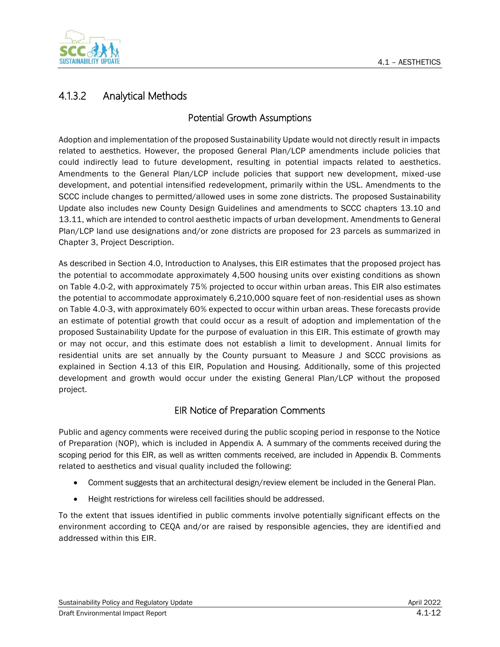

## 4.1.3.2 Analytical Methods

#### Potential Growth Assumptions

Adoption and implementation of the proposed Sustainability Update would not directly result in impacts related to aesthetics. However, the proposed General Plan/LCP amendments include policies that could indirectly lead to future development, resulting in potential impacts related to aesthetics. Amendments to the General Plan/LCP include policies that support new development, mixed-use development, and potential intensified redevelopment, primarily within the USL. Amendments to the SCCC include changes to permitted/allowed uses in some zone districts. The proposed Sustainability Update also includes new County Design Guidelines and amendments to SCCC chapters 13.10 and 13.11, which are intended to control aesthetic impacts of urban development. Amendments to General Plan/LCP land use designations and/or zone districts are proposed for 23 parcels as summarized in Chapter 3, Project Description.

As described in Section 4.0, Introduction to Analyses, this EIR estimates that the proposed project has the potential to accommodate approximately 4,500 housing units over existing conditions as shown on Table 4.0-2, with approximately 75% projected to occur within urban areas. This EIR also estimates the potential to accommodate approximately 6,210,000 square feet of non-residential uses as shown on Table 4.0-3, with approximately 60% expected to occur within urban areas. These forecasts provide an estimate of potential growth that could occur as a result of adoption and implementation of the proposed Sustainability Update for the purpose of evaluation in this EIR. This estimate of growth may or may not occur, and this estimate does not establish a limit to development. Annual limits for residential units are set annually by the County pursuant to Measure J and SCCC provisions as explained in Section 4.13 of this EIR, Population and Housing. Additionally, some of this projected development and growth would occur under the existing General Plan/LCP without the proposed project.

### EIR Notice of Preparation Comments

Public and agency comments were received during the public scoping period in response to the Notice of Preparation (NOP), which is included in Appendix A. A summary of the comments received during the scoping period for this EIR, as well as written comments received, are included in Appendix B. Comments related to aesthetics and visual quality included the following:

- Comment suggests that an architectural design/review element be included in the General Plan.
- Height restrictions for wireless cell facilities should be addressed.

To the extent that issues identified in public comments involve potentially significant effects on the environment according to CEQA and/or are raised by responsible agencies, they are identified and addressed within this EIR.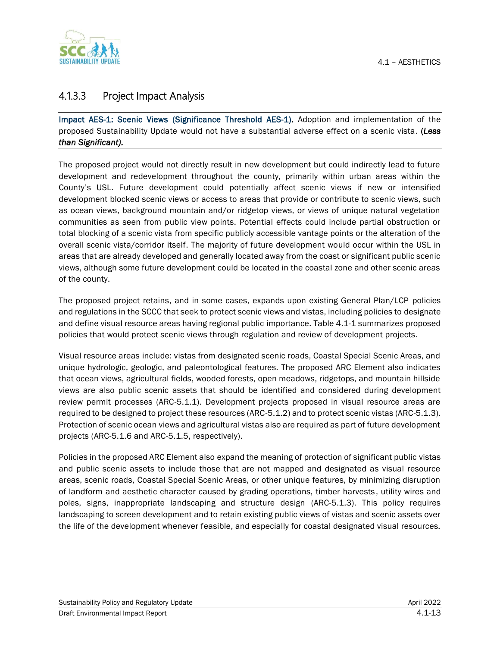

## 4.1.3.3 Project Impact Analysis

Impact AES-1: Scenic Views (Significance Threshold AES-1). Adoption and implementation of the proposed Sustainability Update would not have a substantial adverse effect on a scenic vista. (*Less than Significant).*

The proposed project would not directly result in new development but could indirectly lead to future development and redevelopment throughout the county, primarily within urban areas within the County's USL. Future development could potentially affect scenic views if new or intensified development blocked scenic views or access to areas that provide or contribute to scenic views, such as ocean views, background mountain and/or ridgetop views, or views of unique natural vegetation communities as seen from public view points. Potential effects could include partial obstruction or total blocking of a scenic vista from specific publicly accessible vantage points or the alteration of the overall scenic vista/corridor itself. The majority of future development would occur within the USL in areas that are already developed and generally located away from the coast or significant public scenic views, although some future development could be located in the coastal zone and other scenic areas of the county.

The proposed project retains, and in some cases, expands upon existing General Plan/LCP policies and regulations in the SCCC that seek to protect scenic views and vistas, including policies to designate and define visual resource areas having regional public importance. Table 4.1-1 summarizes proposed policies that would protect scenic views through regulation and review of development projects.

Visual resource areas include: vistas from designated scenic roads, Coastal Special Scenic Areas, and unique hydrologic, geologic, and paleontological features. The proposed ARC Element also indicates that ocean views, agricultural fields, wooded forests, open meadows, ridgetops, and mountain hillside views are also public scenic assets that should be identified and considered during development review permit processes (ARC-5.1.1). Development projects proposed in visual resource areas are required to be designed to project these resources (ARC-5.1.2) and to protect scenic vistas (ARC-5.1.3). Protection of scenic ocean views and agricultural vistas also are required as part of future development projects (ARC-5.1.6 and ARC-5.1.5, respectively).

Policies in the proposed ARC Element also expand the meaning of protection of significant public vistas and public scenic assets to include those that are not mapped and designated as visual resource areas, scenic roads, Coastal Special Scenic Areas, or other unique features, by minimizing disruption of landform and aesthetic character caused by grading operations, timber harvests , utility wires and poles, signs, inappropriate landscaping and structure design (ARC-5.1.3). This policy requires landscaping to screen development and to retain existing public views of vistas and scenic assets over the life of the development whenever feasible, and especially for coastal designated visual resources.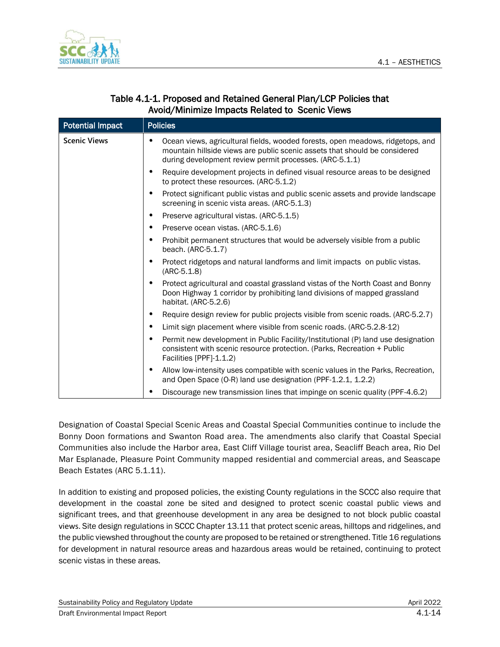

| <b>Potential Impact</b> | <b>Policies</b>                                                                                                                                                                                                         |
|-------------------------|-------------------------------------------------------------------------------------------------------------------------------------------------------------------------------------------------------------------------|
| <b>Scenic Views</b>     | Ocean views, agricultural fields, wooded forests, open meadows, ridgetops, and<br>mountain hillside views are public scenic assets that should be considered<br>during development review permit processes. (ARC-5.1.1) |
|                         | Require development projects in defined visual resource areas to be designed<br>to protect these resources. (ARC-5.1.2)                                                                                                 |
|                         | Protect significant public vistas and public scenic assets and provide landscape<br>screening in scenic vista areas. (ARC-5.1.3)                                                                                        |
|                         | Preserve agricultural vistas. (ARC-5.1.5)<br>٠                                                                                                                                                                          |
|                         | Preserve ocean vistas. (ARC-5.1.6)<br>٠                                                                                                                                                                                 |
|                         | Prohibit permanent structures that would be adversely visible from a public<br>beach. (ARC-5.1.7)                                                                                                                       |
|                         | Protect ridgetops and natural landforms and limit impacts on public vistas.<br>$(ARC-5.1.8)$                                                                                                                            |
|                         | Protect agricultural and coastal grassland vistas of the North Coast and Bonny<br>Doon Highway 1 corridor by prohibiting land divisions of mapped grassland<br>habitat. (ARC-5.2.6)                                     |
|                         | Require design review for public projects visible from scenic roads. (ARC-5.2.7)<br>٠                                                                                                                                   |
|                         | Limit sign placement where visible from scenic roads. (ARC-5.2.8-12)<br>٠                                                                                                                                               |
|                         | Permit new development in Public Facility/Institutional (P) land use designation<br>٠<br>consistent with scenic resource protection. (Parks, Recreation + Public<br>Facilities [PPF]-1.1.2)                             |
|                         | Allow low-intensity uses compatible with scenic values in the Parks, Recreation,<br>and Open Space (O-R) land use designation (PPF-1.2.1, 1.2.2)                                                                        |
|                         | Discourage new transmission lines that impinge on scenic quality (PPF-4.6.2)                                                                                                                                            |

#### Table 4.1-1. Proposed and Retained General Plan/LCP Policies that Avoid/Minimize Impacts Related to Scenic Views

Designation of Coastal Special Scenic Areas and Coastal Special Communities continue to include the Bonny Doon formations and Swanton Road area. The amendments also clarify that Coastal Special Communities also include the Harbor area, East Cliff Village tourist area, Seacliff Beach area, Rio Del Mar Esplanade, Pleasure Point Community mapped residential and commercial areas, and Seascape Beach Estates (ARC 5.1.11).

In addition to existing and proposed policies, the existing County regulations in the SCCC also require that development in the coastal zone be sited and designed to protect scenic coastal public views and significant trees, and that greenhouse development in any area be designed to not block public coastal views. Site design regulations in SCCC Chapter 13.11 that protect scenic areas, hilltops and ridgelines, and the public viewshed throughout the county are proposed to be retained or strengthened. Title 16 regulations for development in natural resource areas and hazardous areas would be retained, continuing to protect scenic vistas in these areas.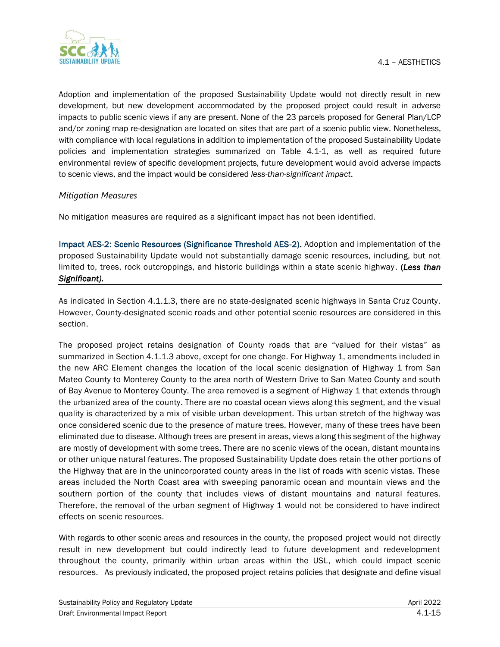

Adoption and implementation of the proposed Sustainability Update would not directly result in new development, but new development accommodated by the proposed project could result in adverse impacts to public scenic views if any are present. None of the 23 parcels proposed for General Plan/LCP and/or zoning map re-designation are located on sites that are part of a scenic public view. Nonetheless, with compliance with local regulations in addition to implementation of the proposed Sustainability Update policies and implementation strategies summarized on Table 4.1-1, as well as required future environmental review of specific development projects, future development would avoid adverse impacts to scenic views, and the impact would be considered *less-than-significant impact*.

#### *Mitigation Measures*

No mitigation measures are required as a significant impact has not been identified.

Impact AES-2: Scenic Resources (Significance Threshold AES-2). Adoption and implementation of the proposed Sustainability Update would not substantially damage scenic resources, including, but not limited to, trees, rock outcroppings, and historic buildings within a state scenic highway . (*Less than Significant).*

As indicated in Section 4.1.1.3, there are no state-designated scenic highways in Santa Cruz County. However, County-designated scenic roads and other potential scenic resources are considered in this section.

The proposed project retains designation of County roads that are "valued for their vistas" as summarized in Section 4.1.1.3 above, except for one change. For Highway 1, amendments included in the new ARC Element changes the location of the local scenic designation of Highway 1 from San Mateo County to Monterey County to the area north of Western Drive to San Mateo County and south of Bay Avenue to Monterey County. The area removed is a segment of Highway 1 that extends through the urbanized area of the county. There are no coastal ocean views along this segment, and the visual quality is characterized by a mix of visible urban development. This urban stretch of the highway was once considered scenic due to the presence of mature trees. However, many of these trees have been eliminated due to disease. Although trees are present in areas, views along this segment of the highway are mostly of development with some trees. There are no scenic views of the ocean, distant mountains or other unique natural features. The proposed Sustainability Update does retain the other portions of the Highway that are in the unincorporated county areas in the list of roads with scenic vistas. These areas included the North Coast area with sweeping panoramic ocean and mountain views and the southern portion of the county that includes views of distant mountains and natural features. Therefore, the removal of the urban segment of Highway 1 would not be considered to have indirect effects on scenic resources.

With regards to other scenic areas and resources in the county, the proposed project would not directly result in new development but could indirectly lead to future development and redevelopment throughout the county, primarily within urban areas within the USL, which could impact scenic resources. As previously indicated, the proposed project retains policies that designate and define visual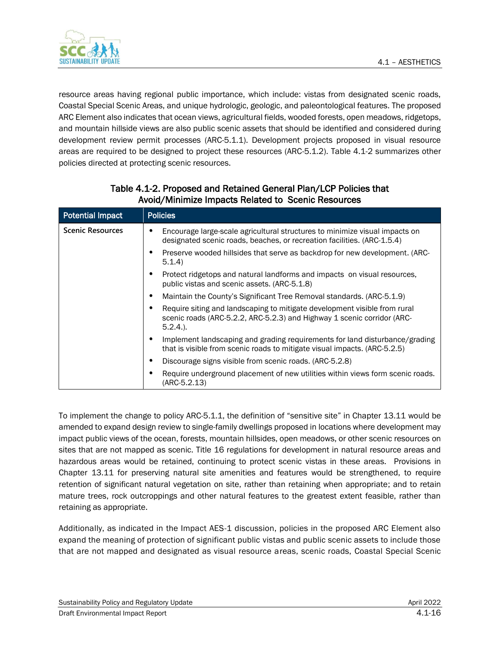

resource areas having regional public importance, which include: vistas from designated scenic roads, Coastal Special Scenic Areas, and unique hydrologic, geologic, and paleontological features. The proposed ARC Element also indicates that ocean views, agricultural fields, wooded forests, open meadows, ridgetops, and mountain hillside views are also public scenic assets that should be identified and considered during development review permit processes (ARC-5.1.1). Development projects proposed in visual resource areas are required to be designed to project these resources (ARC-5.1.2). Table 4.1-2 summarizes other policies directed at protecting scenic resources.

| <b>Potential Impact</b> | <b>Policies</b>                                                                                                                                                     |
|-------------------------|---------------------------------------------------------------------------------------------------------------------------------------------------------------------|
| <b>Scenic Resources</b> | Encourage large-scale agricultural structures to minimize visual impacts on<br>designated scenic roads, beaches, or recreation facilities. (ARC-1.5.4)              |
|                         | Preserve wooded hillsides that serve as backdrop for new development. (ARC-<br>5.1.4                                                                                |
|                         | Protect ridgetops and natural landforms and impacts on visual resources.<br>public vistas and scenic assets. (ARC-5.1.8)                                            |
|                         | Maintain the County's Significant Tree Removal standards. (ARC-5.1.9)<br>٠                                                                                          |
|                         | Require siting and landscaping to mitigate development visible from rural<br>scenic roads (ARC-5.2.2, ARC-5.2.3) and Highway 1 scenic corridor (ARC-<br>$5.2.4.$ ). |
|                         | Implement landscaping and grading requirements for land disturbance/grading<br>that is visible from scenic roads to mitigate visual impacts. (ARC-5.2.5)            |
|                         | Discourage signs visible from scenic roads. (ARC-5.2.8)                                                                                                             |
|                         | Require underground placement of new utilities within views form scenic roads.<br>(ARC-5.2.13)                                                                      |

#### Table 4.1-2. Proposed and Retained General Plan/LCP Policies that Avoid/Minimize Impacts Related to Scenic Resources

To implement the change to policy ARC-5.1.1, the definition of "sensitive site" in Chapter 13.11 would be amended to expand design review to single-family dwellings proposed in locations where development may impact public views of the ocean, forests, mountain hillsides, open meadows, or other scenic resources on sites that are not mapped as scenic. Title 16 regulations for development in natural resource areas and hazardous areas would be retained, continuing to protect scenic vistas in these areas. Provisions in Chapter 13.11 for preserving natural site amenities and features would be strengthened, to require retention of significant natural vegetation on site, rather than retaining when appropriate; and to retain mature trees, rock outcroppings and other natural features to the greatest extent feasible, rather than retaining as appropriate.

Additionally, as indicated in the Impact AES-1 discussion, policies in the proposed ARC Element also expand the meaning of protection of significant public vistas and public scenic assets to include those that are not mapped and designated as visual resource areas, scenic roads, Coastal Special Scenic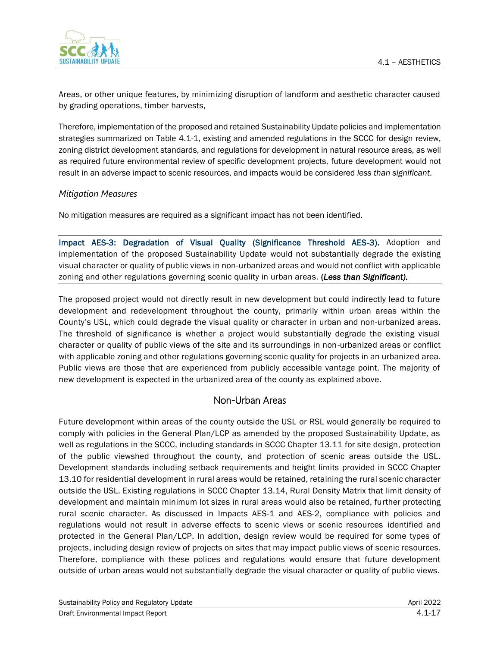

Areas, or other unique features, by minimizing disruption of landform and aesthetic character caused by grading operations, timber harvests,

Therefore, implementation of the proposed and retained Sustainability Update policies and implementation strategies summarized on Table 4.1-1, existing and amended regulations in the SCCC for design review, zoning district development standards, and regulations for development in natural resource areas, as well as required future environmental review of specific development projects, future development would not result in an adverse impact to scenic resources, and impacts would be considered *less than significant*.

#### *Mitigation Measures*

No mitigation measures are required as a significant impact has not been identified.

Impact AES-3: Degradation of Visual Quality (Significance Threshold AES-3). Adoption and implementation of the proposed Sustainability Update would not substantially degrade the existing visual character or quality of public views in non-urbanized areas and would not conflict with applicable zoning and other regulations governing scenic quality in urban areas. (*Less than Significant).*

The proposed project would not directly result in new development but could indirectly lead to future development and redevelopment throughout the county, primarily within urban areas within the County's USL, which could degrade the visual quality or character in urban and non-urbanized areas. The threshold of significance is whether a project would substantially degrade the existing visual character or quality of public views of the site and its surroundings in non-urbanized areas or conflict with applicable zoning and other regulations governing scenic quality for projects in an urbanized area. Public views are those that are experienced from publicly accessible vantage point. The majority of new development is expected in the urbanized area of the county as explained above.

### Non-Urban Areas

Future development within areas of the county outside the USL or RSL would generally be required to comply with policies in the General Plan/LCP as amended by the proposed Sustainability Update, as well as regulations in the SCCC, including standards in SCCC Chapter 13.11 for site design, protection of the public viewshed throughout the county, and protection of scenic areas outside the USL. Development standards including setback requirements and height limits provided in SCCC Chapter 13.10 for residential development in rural areas would be retained, retaining the rural scenic character outside the USL. Existing regulations in SCCC Chapter 13.14, Rural Density Matrix that limit density of development and maintain minimum lot sizes in rural areas would also be retained, further protecting rural scenic character. As discussed in Impacts AES-1 and AES-2, compliance with policies and regulations would not result in adverse effects to scenic views or scenic resources identified and protected in the General Plan/LCP. In addition, design review would be required for some types of projects, including design review of projects on sites that may impact public views of scenic resources. Therefore, compliance with these polices and regulations would ensure that future development outside of urban areas would not substantially degrade the visual character or quality of public views.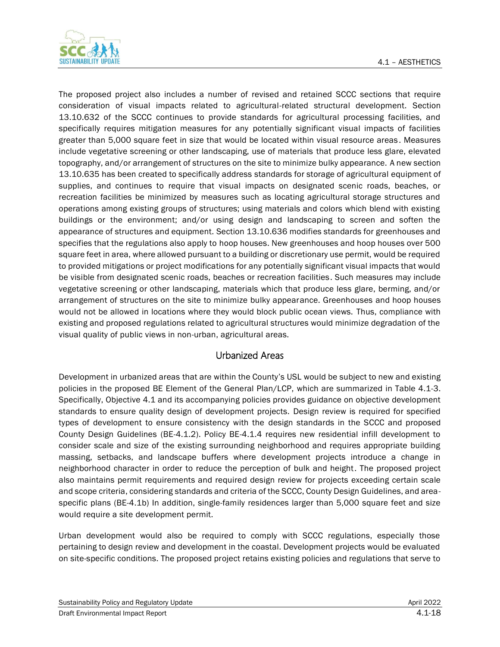

The proposed project also includes a number of revised and retained SCCC sections that require consideration of visual impacts related to agricultural-related structural development. Section 13.10.632 of the SCCC continues to provide standards for agricultural processing facilities, and specifically requires mitigation measures for any potentially significant visual impacts of facilities greater than 5,000 square feet in size that would be located within visual resource areas . Measures include vegetative screening or other landscaping, use of materials that produce less glare, elevated topography, and/or arrangement of structures on the site to minimize bulky appearance. A new section 13.10.635 has been created to specifically address standards for storage of agricultural equipment of supplies, and continues to require that visual impacts on designated scenic roads, beaches, or recreation facilities be minimized by measures such as locating agricultural storage structures and operations among existing groups of structures; using materials and colors which blend with existing buildings or the environment; and/or using design and landscaping to screen and soften the appearance of structures and equipment. Section 13.10.636 modifies standards for greenhouses and specifies that the regulations also apply to hoop houses. New greenhouses and hoop houses over 500 square feet in area, where allowed pursuant to a building or discretionary use permit, would be required to provided mitigations or project modifications for any potentially significant visual impacts that would be visible from designated scenic roads, beaches or recreation facilities. Such measures may include vegetative screening or other landscaping, materials which that produce less glare, berming, and/or arrangement of structures on the site to minimize bulky appearance. Greenhouses and hoop houses would not be allowed in locations where they would block public ocean views. Thus, compliance with existing and proposed regulations related to agricultural structures would minimize degradation of the visual quality of public views in non-urban, agricultural areas.

### Urbanized Areas

Development in urbanized areas that are within the County's USL would be subject to new and existing policies in the proposed BE Element of the General Plan/LCP, which are summarized in Table 4.1-3. Specifically, Objective 4.1 and its accompanying policies provides guidance on objective development standards to ensure quality design of development projects. Design review is required for specified types of development to ensure consistency with the design standards in the SCCC and proposed County Design Guidelines (BE-4.1.2). Policy BE-4.1.4 requires new residential infill development to consider scale and size of the existing surrounding neighborhood and requires appropriate building massing, setbacks, and landscape buffers where development projects introduce a change in neighborhood character in order to reduce the perception of bulk and height. The proposed project also maintains permit requirements and required design review for projects exceeding certain scale and scope criteria, considering standards and criteria of the SCCC, County Design Guidelines, and areaspecific plans (BE-4.1b) In addition, single-family residences larger than 5,000 square feet and size would require a site development permit.

Urban development would also be required to comply with SCCC regulations, especially those pertaining to design review and development in the coastal. Development projects would be evaluated on site-specific conditions. The proposed project retains existing policies and regulations that serve to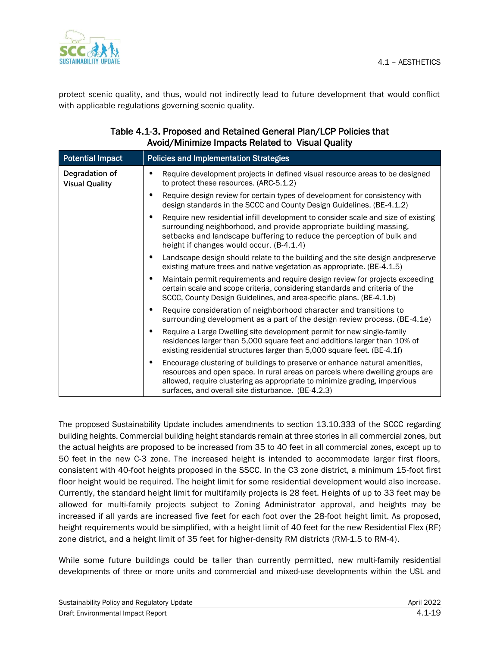

protect scenic quality, and thus, would not indirectly lead to future development that would conflict with applicable regulations governing scenic quality.

| AVOIU/ MIIIIIIIIILE IIIIpacts Related to Visual Quality |                                                                                                                                                                                                                                                                                                  |  |
|---------------------------------------------------------|--------------------------------------------------------------------------------------------------------------------------------------------------------------------------------------------------------------------------------------------------------------------------------------------------|--|
| <b>Potential Impact</b>                                 | <b>Policies and Implementation Strategies</b>                                                                                                                                                                                                                                                    |  |
| Degradation of<br><b>Visual Quality</b>                 | Require development projects in defined visual resource areas to be designed<br>to protect these resources. (ARC-5.1.2)                                                                                                                                                                          |  |
|                                                         | Require design review for certain types of development for consistency with<br>design standards in the SCCC and County Design Guidelines. (BE-4.1.2)                                                                                                                                             |  |
|                                                         | Require new residential infill development to consider scale and size of existing<br>٠<br>surrounding neighborhood, and provide appropriate building massing,<br>setbacks and landscape buffering to reduce the perception of bulk and<br>height if changes would occur. (B-4.1.4)               |  |
|                                                         | Landscape design should relate to the building and the site design andpreserve<br>٠<br>existing mature trees and native vegetation as appropriate. (BE-4.1.5)                                                                                                                                    |  |
|                                                         | Maintain permit requirements and require design review for projects exceeding<br>٠<br>certain scale and scope criteria, considering standards and criteria of the<br>SCCC, County Design Guidelines, and area-specific plans. (BE-4.1.b)                                                         |  |
|                                                         | Require consideration of neighborhood character and transitions to<br>surrounding development as a part of the design review process. (BE-4.1e)                                                                                                                                                  |  |
|                                                         | Require a Large Dwelling site development permit for new single-family<br>residences larger than 5,000 square feet and additions larger than 10% of<br>existing residential structures larger than 5,000 square feet. (BE-4.1f)                                                                  |  |
|                                                         | Encourage clustering of buildings to preserve or enhance natural amenities,<br>resources and open space. In rural areas on parcels where dwelling groups are<br>allowed, require clustering as appropriate to minimize grading, impervious<br>surfaces, and overall site disturbance. (BE-4.2.3) |  |

#### Table 4.1-3. Proposed and Retained General Plan/LCP Policies that Avoid/Minimize Impacts Related to Visual Quality

The proposed Sustainability Update includes amendments to section 13.10.333 of the SCCC regarding building heights. Commercial building height standards remain at three stories in all commercial zones, but the actual heights are proposed to be increased from 35 to 40 feet in all commercial zones, except up to 50 feet in the new C-3 zone. The increased height is intended to accommodate larger first floors, consistent with 40-foot heights proposed in the SSCC. In the C3 zone district, a minimum 15-foot first floor height would be required. The height limit for some residential development would also increase. Currently, the standard height limit for multifamily projects is 28 feet. Heights of up to 33 feet may be allowed for multi-family projects subject to Zoning Administrator approval, and heights may be increased if all yards are increased five feet for each foot over the 28-foot height limit. As proposed, height requirements would be simplified, with a height limit of 40 feet for the new Residential Flex (RF) zone district, and a height limit of 35 feet for higher-density RM districts (RM-1.5 to RM-4).

While some future buildings could be taller than currently permitted, new multi-family residential developments of three or more units and commercial and mixed-use developments within the USL and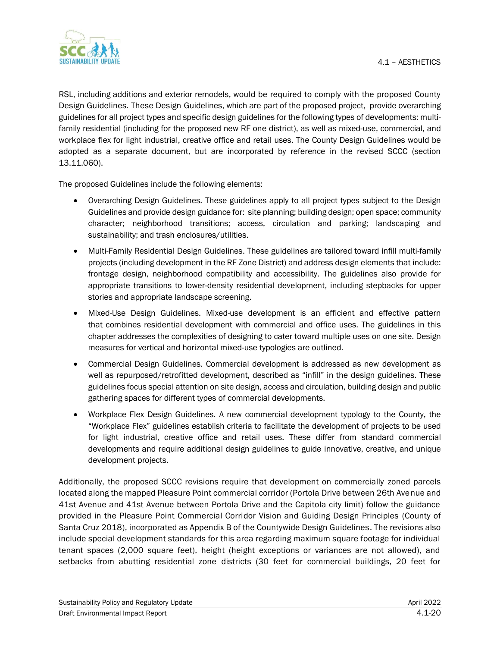

RSL, including additions and exterior remodels, would be required to comply with the proposed County Design Guidelines. These Design Guidelines, which are part of the proposed project, provide overarching guidelines for all project types and specific design guidelines for the following types of developments: multifamily residential (including for the proposed new RF one district), as well as mixed-use, commercial, and workplace flex for light industrial, creative office and retail uses. The County Design Guidelines would be adopted as a separate document, but are incorporated by reference in the revised SCCC (section 13.11.060).

The proposed Guidelines include the following elements:

- Overarching Design Guidelines. These guidelines apply to all project types subject to the Design Guidelines and provide design guidance for: site planning; building design; open space; community character; neighborhood transitions; access, circulation and parking; landscaping and sustainability; and trash enclosures/utilities.
- Multi-Family Residential Design Guidelines. These guidelines are tailored toward infill multi-family projects (including development in the RF Zone District) and address design elements that include: frontage design, neighborhood compatibility and accessibility. The guidelines also provide for appropriate transitions to lower-density residential development, including stepbacks for upper stories and appropriate landscape screening.
- Mixed-Use Design Guidelines. Mixed-use development is an efficient and effective pattern that combines residential development with commercial and office uses. The guidelines in this chapter addresses the complexities of designing to cater toward multiple uses on one site. Design measures for vertical and horizontal mixed-use typologies are outlined.
- Commercial Design Guidelines. Commercial development is addressed as new development as well as repurposed/retrofitted development, described as "infill" in the design guidelines. These guidelines focus special attention on site design, access and circulation, building design and public gathering spaces for different types of commercial developments.
- Workplace Flex Design Guidelines. A new commercial development typology to the County, the "Workplace Flex" guidelines establish criteria to facilitate the development of projects to be used for light industrial, creative office and retail uses. These differ from standard commercial developments and require additional design guidelines to guide innovative, creative, and unique development projects.

Additionally, the proposed SCCC revisions require that development on commercially zoned parcels located along the mapped Pleasure Point commercial corridor (Portola Drive between 26th Avenue and 41st Avenue and 41st Avenue between Portola Drive and the Capitola city limit) follow the guidance provided in the Pleasure Point Commercial Corridor Vision and Guiding Design Principles (County of Santa Cruz 2018), incorporated as Appendix B of the Countywide Design Guidelines. The revisions also include special development standards for this area regarding maximum square footage for individual tenant spaces (2,000 square feet), height (height exceptions or variances are not allowed), and setbacks from abutting residential zone districts (30 feet for commercial buildings, 20 feet for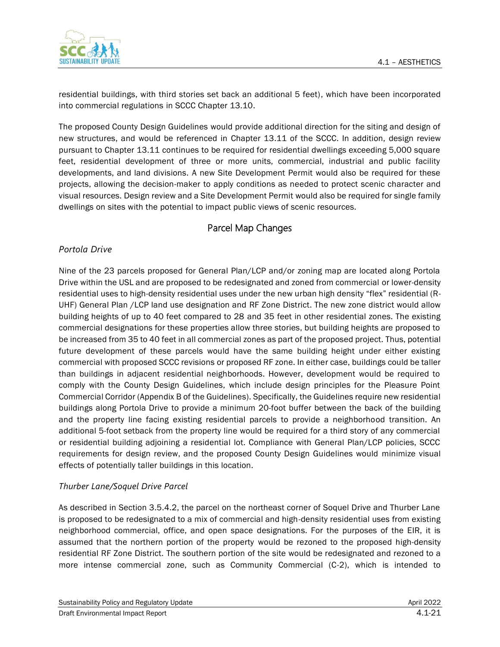

residential buildings, with third stories set back an additional 5 feet), which have been incorporated into commercial regulations in SCCC Chapter 13.10.

The proposed County Design Guidelines would provide additional direction for the siting and design of new structures, and would be referenced in Chapter 13.11 of the SCCC. In addition, design review pursuant to Chapter 13.11 continues to be required for residential dwellings exceeding 5,000 square feet, residential development of three or more units, commercial, industrial and public facility developments, and land divisions. A new Site Development Permit would also be required for these projects, allowing the decision-maker to apply conditions as needed to protect scenic character and visual resources. Design review and a Site Development Permit would also be required for single family dwellings on sites with the potential to impact public views of scenic resources.

### Parcel Map Changes

#### *Portola Drive*

Nine of the 23 parcels proposed for General Plan/LCP and/or zoning map are located along Portola Drive within the USL and are proposed to be redesignated and zoned from commercial or lower-density residential uses to high-density residential uses under the new urban high density "flex" residential (R-UHF) General Plan /LCP land use designation and RF Zone District. The new zone district would allow building heights of up to 40 feet compared to 28 and 35 feet in other residential zones. The existing commercial designations for these properties allow three stories, but building heights are proposed to be increased from 35 to 40 feet in all commercial zones as part of the proposed project. Thus, potential future development of these parcels would have the same building height under either existing commercial with proposed SCCC revisions or proposed RF zone. In either case, buildings could be taller than buildings in adjacent residential neighborhoods. However, development would be required to comply with the County Design Guidelines, which include design principles for the Pleasure Point Commercial Corridor (Appendix B of the Guidelines). Specifically, the Guidelines require new residential buildings along Portola Drive to provide a minimum 20-foot buffer between the back of the building and the property line facing existing residential parcels to provide a neighborhood transition. An additional 5-foot setback from the property line would be required for a third story of any commercial or residential building adjoining a residential lot. Compliance with General Plan/LCP policies, SCCC requirements for design review, and the proposed County Design Guidelines would minimize visual effects of potentially taller buildings in this location.

#### *Thurber Lane/Soquel Drive Parcel*

As described in Section 3.5.4.2, the parcel on the northeast corner of Soquel Drive and Thurber Lane is proposed to be redesignated to a mix of commercial and high-density residential uses from existing neighborhood commercial, office, and open space designations. For the purposes of the EIR, it is assumed that the northern portion of the property would be rezoned to the proposed high-density residential RF Zone District. The southern portion of the site would be redesignated and rezoned to a more intense commercial zone, such as Community Commercial (C-2), which is intended to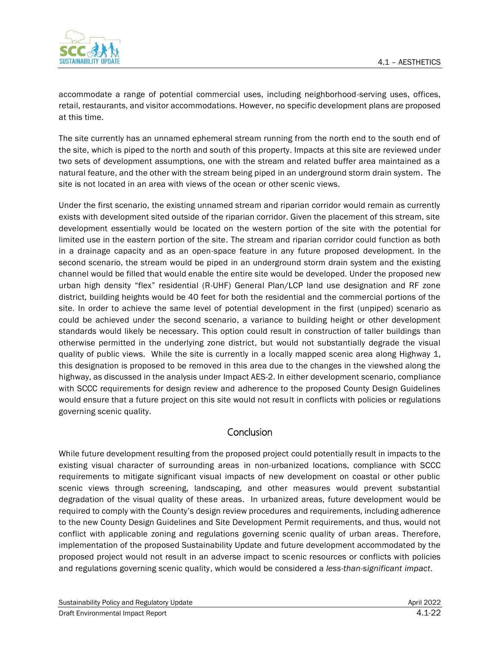

accommodate a range of potential commercial uses, including neighborhood-serving uses, offices, retail, restaurants, and visitor accommodations. However, no specific development plans are proposed at this time.

The site currently has an unnamed ephemeral stream running from the north end to the south end of the site, which is piped to the north and south of this property. Impacts at this site are reviewed under two sets of development assumptions, one with the stream and related buffer area maintained as a natural feature, and the other with the stream being piped in an underground storm drain system. The site is not located in an area with views of the ocean or other scenic views.

Under the first scenario, the existing unnamed stream and riparian corridor would remain as currently exists with development sited outside of the riparian corridor. Given the placement of this stream, site development essentially would be located on the western portion of the site with the potential for limited use in the eastern portion of the site. The stream and riparian corridor could function as both in a drainage capacity and as an open-space feature in any future proposed development. In the second scenario, the stream would be piped in an underground storm drain system and the existing channel would be filled that would enable the entire site would be developed. Under the proposed new urban high density "flex" residential (R-UHF) General Plan/LCP land use designation and RF zone district, building heights would be 40 feet for both the residential and the commercial portions of the site. In order to achieve the same level of potential development in the first (unpiped) scenario as could be achieved under the second scenario, a variance to building height or other development standards would likely be necessary. This option could result in construction of taller buildings than otherwise permitted in the underlying zone district, but would not substantially degrade the visual quality of public views. While the site is currently in a locally mapped scenic area along Highway 1, this designation is proposed to be removed in this area due to the changes in the viewshed along the highway, as discussed in the analysis under Impact AES-2. In either development scenario, compliance with SCCC requirements for design review and adherence to the proposed County Design Guidelines would ensure that a future project on this site would not result in conflicts with policies or regulations governing scenic quality.

### **Conclusion**

While future development resulting from the proposed project could potentially result in impacts to the existing visual character of surrounding areas in non-urbanized locations, compliance with SCCC requirements to mitigate significant visual impacts of new development on coastal or other public scenic views through screening, landscaping, and other measures would prevent substantial degradation of the visual quality of these areas. In urbanized areas, future development would be required to comply with the County's design review procedures and requirements, including adherence to the new County Design Guidelines and Site Development Permit requirements, and thus, would not conflict with applicable zoning and regulations governing scenic quality of urban areas. Therefore, implementation of the proposed Sustainability Update and future development accommodated by the proposed project would not result in an adverse impact to scenic resources or conflicts with policies and regulations governing scenic quality, which would be considered a *less-than-significant impact*.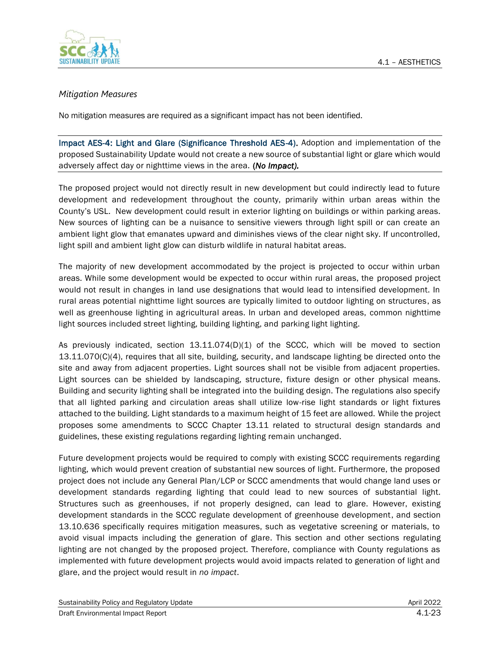

#### *Mitigation Measures*

No mitigation measures are required as a significant impact has not been identified.

Impact AES-4: Light and Glare (Significance Threshold AES-4). Adoption and implementation of the proposed Sustainability Update would not create a new source of substantial light or glare which would adversely affect day or nighttime views in the area. (*No Impact).*

The proposed project would not directly result in new development but could indirectly lead to future development and redevelopment throughout the county, primarily within urban areas within the County's USL. New development could result in exterior lighting on buildings or within parking areas. New sources of lighting can be a nuisance to sensitive viewers through light spill or can create an ambient light glow that emanates upward and diminishes views of the clear night sky. If uncontrolled, light spill and ambient light glow can disturb wildlife in natural habitat areas.

The majority of new development accommodated by the project is projected to occur within urban areas. While some development would be expected to occur within rural areas, the proposed project would not result in changes in land use designations that would lead to intensified development. In rural areas potential nighttime light sources are typically limited to outdoor lighting on structures, as well as greenhouse lighting in agricultural areas. In urban and developed areas, common nighttime light sources included street lighting, building lighting, and parking light lighting.

As previously indicated, section 13.11.074(D)(1) of the SCCC, which will be moved to section 13.11.070(C)(4), requires that all site, building, security, and landscape lighting be directed onto the site and away from adjacent properties. Light sources shall not be visible from adjacent properties. Light sources can be shielded by landscaping, structure, fixture design or other physical means. Building and security lighting shall be integrated into the building design. The regulations also specify that all lighted parking and circulation areas shall utilize low-rise light standards or light fixtures attached to the building. Light standards to a maximum height of 15 feet are allowed. While the project proposes some amendments to SCCC Chapter 13.11 related to structural design standards and guidelines, these existing regulations regarding lighting remain unchanged.

Future development projects would be required to comply with existing SCCC requirements regarding lighting, which would prevent creation of substantial new sources of light. Furthermore, the proposed project does not include any General Plan/LCP or SCCC amendments that would change land uses or development standards regarding lighting that could lead to new sources of substantial light. Structures such as greenhouses, if not properly designed, can lead to glare. However, existing development standards in the SCCC regulate development of greenhouse development, and section 13.10.636 specifically requires mitigation measures, such as vegetative screening or materials, to avoid visual impacts including the generation of glare. This section and other sections regulating lighting are not changed by the proposed project. Therefore, compliance with County regulations as implemented with future development projects would avoid impacts related to generation of light and glare, and the project would result in *no impact*.